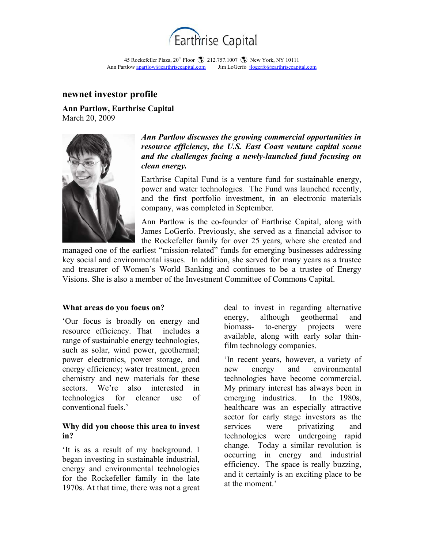

45 Rockefeller Plaza, 20<sup>th</sup> Floor (2) 212.757.1007 (2) New York, NY 10111 Ann Partlow **apartlow** @earthrisecapital.com Jim LoGerfo jlogerfo@earthrisecapital.com

## **newnet investor profile**

**Ann Partlow, Earthrise Capital**  March 20, 2009



## *Ann Partlow discusses the growing commercial opportunities in resource efficiency, the U.S. East Coast venture capital scene and the challenges facing a newly-launched fund focusing on clean energy.*

Earthrise Capital Fund is a venture fund for sustainable energy, power and water technologies. The Fund was launched recently, and the first portfolio investment, in an electronic materials company, was completed in September.

Ann Partlow is the co-founder of Earthrise Capital, along with James LoGerfo. Previously, she served as a financial advisor to the Rockefeller family for over 25 years, where she created and

managed one of the earliest "mission-related" funds for emerging businesses addressing key social and environmental issues. In addition, she served for many years as a trustee and treasurer of Women's World Banking and continues to be a trustee of Energy Visions. She is also a member of the Investment Committee of Commons Capital.

#### **What areas do you focus on?**

'Our focus is broadly on energy and resource efficiency. That includes a range of sustainable energy technologies, such as solar, wind power, geothermal; power electronics, power storage, and energy efficiency; water treatment, green chemistry and new materials for these sectors. We're also interested in technologies for cleaner use of conventional fuels.'

#### **Why did you choose this area to invest in?**

'It is as a result of my background. I began investing in sustainable industrial, energy and environmental technologies for the Rockefeller family in the late 1970s. At that time, there was not a great

deal to invest in regarding alternative energy, although geothermal and biomass- to-energy projects were available, along with early solar thinfilm technology companies.

'In recent years, however, a variety of new energy and environmental technologies have become commercial. My primary interest has always been in emerging industries. In the 1980s, healthcare was an especially attractive sector for early stage investors as the services were privatizing and technologies were undergoing rapid change. Today a similar revolution is occurring in energy and industrial efficiency. The space is really buzzing, and it certainly is an exciting place to be at the moment.'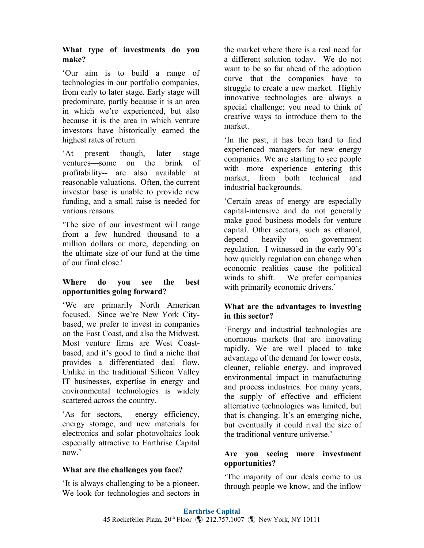# **What type of investments do you make?**

'Our aim is to build a range of technologies in our portfolio companies, from early to later stage. Early stage will predominate, partly because it is an area in which we're experienced, but also because it is the area in which venture investors have historically earned the highest rates of return.

'At present though, later stage ventures—some on the brink of profitability-- are also available at reasonable valuations. Often, the current investor base is unable to provide new funding, and a small raise is needed for various reasons.

'The size of our investment will range from a few hundred thousand to a million dollars or more, depending on the ultimate size of our fund at the time of our final close.'

# **Where do you see the best opportunities going forward?**

'We are primarily North American focused. Since we're New York Citybased, we prefer to invest in companies on the East Coast, and also the Midwest. Most venture firms are West Coastbased, and it's good to find a niche that provides a differentiated deal flow. Unlike in the traditional Silicon Valley IT businesses, expertise in energy and environmental technologies is widely scattered across the country.

'As for sectors, energy efficiency, energy storage, and new materials for electronics and solar photovoltaics look especially attractive to Earthrise Capital now.'

# **What are the challenges you face?**

'It is always challenging to be a pioneer. We look for technologies and sectors in

the market where there is a real need for a different solution today. We do not want to be so far ahead of the adoption curve that the companies have to struggle to create a new market. Highly innovative technologies are always a special challenge; you need to think of creative ways to introduce them to the market.

'In the past, it has been hard to find experienced managers for new energy companies. We are starting to see people with more experience entering this market from both technical and industrial backgrounds.

'Certain areas of energy are especially capital-intensive and do not generally make good business models for venture capital. Other sectors, such as ethanol, depend heavily on government regulation. I witnessed in the early 90's how quickly regulation can change when economic realities cause the political winds to shift. We prefer companies with primarily economic drivers.'

#### **What are the advantages to investing in this sector?**

'Energy and industrial technologies are enormous markets that are innovating rapidly. We are well placed to take advantage of the demand for lower costs, cleaner, reliable energy, and improved environmental impact in manufacturing and process industries. For many years, the supply of effective and efficient alternative technologies was limited, but that is changing. It's an emerging niche, but eventually it could rival the size of the traditional venture universe.'

#### **Are you seeing more investment opportunities?**

'The majority of our deals come to us through people we know, and the inflow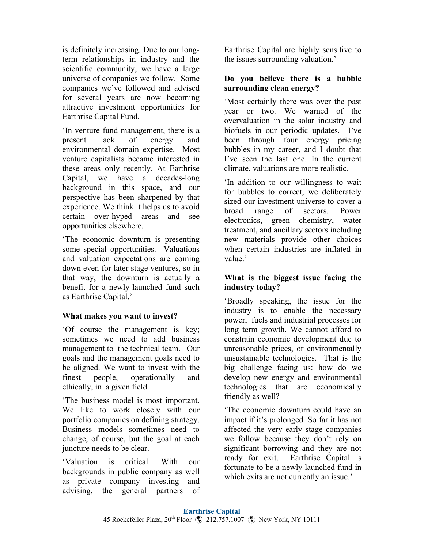is definitely increasing. Due to our longterm relationships in industry and the scientific community, we have a large universe of companies we follow. Some companies we've followed and advised for several years are now becoming attractive investment opportunities for Earthrise Capital Fund.

'In venture fund management, there is a present lack of energy and environmental domain expertise. Most venture capitalists became interested in these areas only recently. At Earthrise Capital, we have a decades-long background in this space, and our perspective has been sharpened by that experience. We think it helps us to avoid certain over-hyped areas and see opportunities elsewhere.

'The economic downturn is presenting some special opportunities. Valuations and valuation expectations are coming down even for later stage ventures, so in that way, the downturn is actually a benefit for a newly-launched fund such as Earthrise Capital.'

# **What makes you want to invest?**

'Of course the management is key; sometimes we need to add business management to the technical team. Our goals and the management goals need to be aligned. We want to invest with the finest people, operationally and ethically, in a given field.

'The business model is most important. We like to work closely with our portfolio companies on defining strategy. Business models sometimes need to change, of course, but the goal at each juncture needs to be clear.

'Valuation is critical. With our backgrounds in public company as well as private company investing and advising, the general partners of Earthrise Capital are highly sensitive to the issues surrounding valuation.'

#### **Do you believe there is a bubble surrounding clean energy?**

'Most certainly there was over the past year or two. We warned of the overvaluation in the solar industry and biofuels in our periodic updates. I've been through four energy pricing bubbles in my career, and I doubt that I've seen the last one. In the current climate, valuations are more realistic.

'In addition to our willingness to wait for bubbles to correct, we deliberately sized our investment universe to cover a broad range of sectors. Power electronics, green chemistry, water treatment, and ancillary sectors including new materials provide other choices when certain industries are inflated in value.'

# **What is the biggest issue facing the industry today?**

'Broadly speaking, the issue for the industry is to enable the necessary power, fuels and industrial processes for long term growth. We cannot afford to constrain economic development due to unreasonable prices, or environmentally unsustainable technologies. That is the big challenge facing us: how do we develop new energy and environmental technologies that are economically friendly as well?

'The economic downturn could have an impact if it's prolonged. So far it has not affected the very early stage companies we follow because they don't rely on significant borrowing and they are not ready for exit. Earthrise Capital is fortunate to be a newly launched fund in which exits are not currently an issue.'